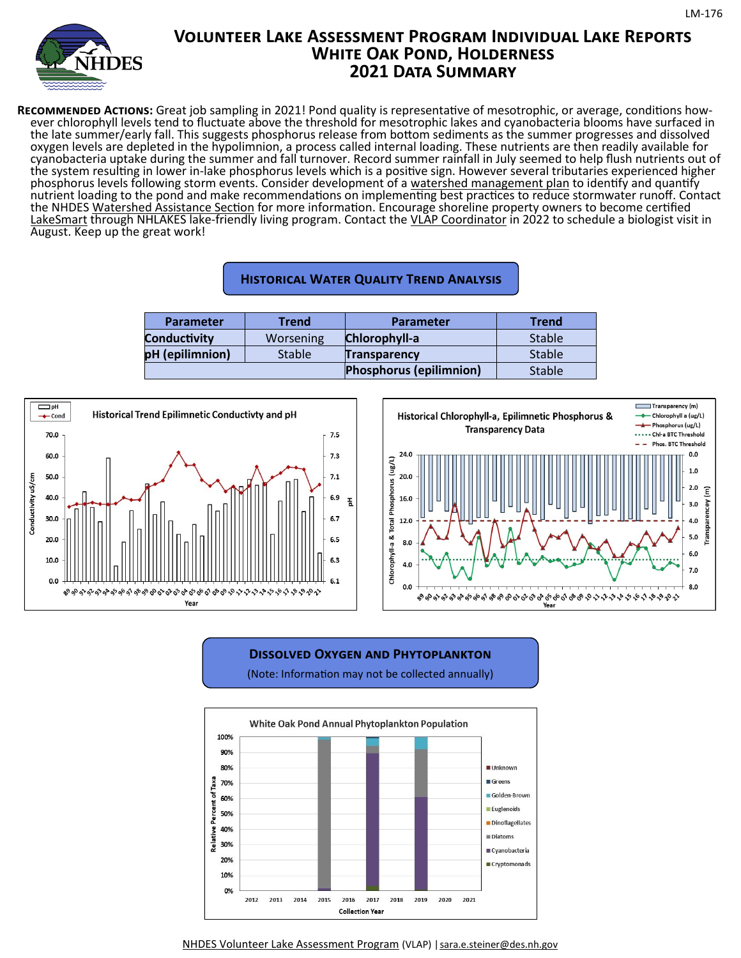

# **Volunteer Lake Assessment Program Individual Lake Reports WHITE OAK POND, HOLDERNESS 2021 Data Summary**

**Recommended Actions:** Great job sampling in 2021! Pond quality is representative of mesotrophic, or average, conditions however chlorophyll levels tend to fluctuate above the threshold for mesotrophic lakes and cyanobacteria blooms have surfaced in the late summer/early fall. This suggests phosphorus release from bottom sediments as the summer progresses and dissolved oxygen levels are depleted in the hypolimnion, a process called internal loading. These nutrients are then readily available for cyanobacteria uptake during the summer and fall turnover. Record summer rainfall in July seemed to help flush nutrients out of the system resulting in lower in-lake phosphorus levels which is a positive sign. However several tributaries experienced higher phosphorus levels following storm events. Consider development of a [watershed management plan](https://www.des.nh.gov/business-and-community/loans-and-grants/watershed-assistance) to identify and quantify nutrient loading to the pond and make recommendations on implementing best practices to reduce stormwater runoff. Contact the NHDES [Watershed Assistance Section](https://www.des.nh.gov/climate-and-sustainability/conservation-mitigation-and-restoration/watershed-assistance) for more information. Encourage shoreline property owners to become certified [LakeSmart](https://nhlakes.org/lakesmart/) through NHLAKES lake-friendly living program. Contact the [VLAP Coordinator](mailto:sara.e.steiner@des.nh.gov) in 2022 to schedule a biologist visit in August. Keep up the great work!

### **Historical Water Quality Trend Analysis**

| <b>Parameter</b>    | Trend         | <b>Parameter</b>               | Trend         |
|---------------------|---------------|--------------------------------|---------------|
| <b>Conductivity</b> | Worsening     | Chlorophyll-a                  | <b>Stable</b> |
| pH (epilimnion)     | <b>Stable</b> | <b>Transparency</b>            | <b>Stable</b> |
|                     |               | <b>Phosphorus (epilimnion)</b> | <b>Stable</b> |



### **Dissolved Oxygen and Phytoplankton**

(Note: Information may not be collected annually)



[NHDES Volunteer Lake Assessment Program](https://www.des.nh.gov/water/rivers-and-lakes/volunteer-assessment-programs) (VLAP) | [sara.e.steiner@des.nh.gov](mailto:sara.e.steiner@des.nh.gov)